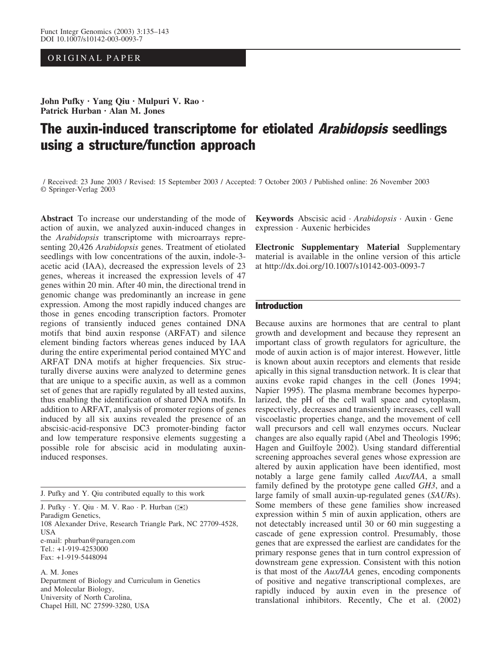## ORIGINAL PAPER

John Pufky · Yang Qiu · Mulpuri V. Rao · Patrick Hurban · Alan M. Jones

# The auxin-induced transcriptome for etiolated Arabidopsis seedlings using a structure/function approach

/ Received: 23 June 2003 / Revised: 15 September 2003 / Accepted: 7 October 2003 / Published online: 26 November 2003 Springer-Verlag 2003

Abstract To increase our understanding of the mode of action of auxin, we analyzed auxin-induced changes in the Arabidopsis transcriptome with microarrays representing 20,426 Arabidopsis genes. Treatment of etiolated seedlings with low concentrations of the auxin, indole-3 acetic acid (IAA), decreased the expression levels of 23 genes, whereas it increased the expression levels of 47 genes within 20 min. After 40 min, the directional trend in genomic change was predominantly an increase in gene expression. Among the most rapidly induced changes are those in genes encoding transcription factors. Promoter regions of transiently induced genes contained DNA motifs that bind auxin response (ARFAT) and silence element binding factors whereas genes induced by IAA during the entire experimental period contained MYC and ARFAT DNA motifs at higher frequencies. Six structurally diverse auxins were analyzed to determine genes that are unique to a specific auxin, as well as a common set of genes that are rapidly regulated by all tested auxins, thus enabling the identification of shared DNA motifs. In addition to ARFAT, analysis of promoter regions of genes induced by all six auxins revealed the presence of an abscisic-acid-responsive DC3 promoter-binding factor and low temperature responsive elements suggesting a possible role for abscisic acid in modulating auxininduced responses.

J. Pufky and Y. Qiu contributed equally to this work

J. Pufky · Y. Qiu · M. V. Rao · P. Hurban (*)*)

Paradigm Genetics, 108 Alexander Drive, Research Triangle Park, NC 27709-4528, USA e-mail: phurban@paragen.com Tel.: +1-919-4253000 Fax: +1-919-5448094

A. M. Jones Department of Biology and Curriculum in Genetics and Molecular Biology, University of North Carolina, Chapel Hill, NC 27599-3280, USA

Keywords Abscisic acid · Arabidopsis · Auxin · Gene expression · Auxenic herbicides

Electronic Supplementary Material Supplementary material is available in the online version of this article at http://dx.doi.org/10.1007/s10142-003-0093-7

## Introduction

Because auxins are hormones that are central to plant growth and development and because they represent an important class of growth regulators for agriculture, the mode of auxin action is of major interest. However, little is known about auxin receptors and elements that reside apically in this signal transduction network. It is clear that auxins evoke rapid changes in the cell (Jones 1994; Napier 1995). The plasma membrane becomes hyperpolarized, the pH of the cell wall space and cytoplasm, respectively, decreases and transiently increases, cell wall viscoelastic properties change, and the movement of cell wall precursors and cell wall enzymes occurs. Nuclear changes are also equally rapid (Abel and Theologis 1996; Hagen and Guilfoyle 2002). Using standard differential screening approaches several genes whose expression are altered by auxin application have been identified, most notably a large gene family called Aux/IAA, a small family defined by the prototype gene called GH3, and a large family of small auxin-up-regulated genes (SAURs). Some members of these gene families show increased expression within 5 min of auxin application, others are not detectably increased until 30 or 60 min suggesting a cascade of gene expression control. Presumably, those genes that are expressed the earliest are candidates for the primary response genes that in turn control expression of downstream gene expression. Consistent with this notion is that most of the Aux/IAA genes, encoding components of positive and negative transcriptional complexes, are rapidly induced by auxin even in the presence of translational inhibitors. Recently, Che et al. (2002)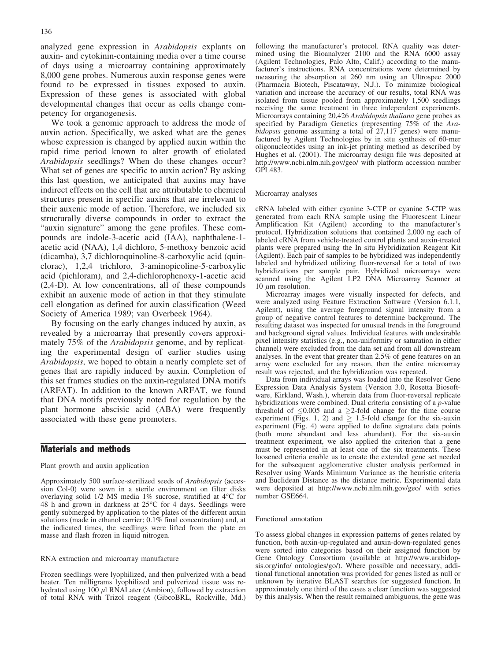analyzed gene expression in Arabidopsis explants on auxin- and cytokinin-containing media over a time course of days using a microarray containing approximately 8,000 gene probes. Numerous auxin response genes were found to be expressed in tissues exposed to auxin. Expression of these genes is associated with global developmental changes that occur as cells change competency for organogenesis.

We took a genomic approach to address the mode of auxin action. Specifically, we asked what are the genes whose expression is changed by applied auxin within the rapid time period known to alter growth of etiolated Arabidopsis seedlings? When do these changes occur? What set of genes are specific to auxin action? By asking this last question, we anticipated that auxins may have indirect effects on the cell that are attributable to chemical structures present in specific auxins that are irrelevant to their auxenic mode of action. Therefore, we included six structurally diverse compounds in order to extract the "auxin signature" among the gene profiles. These compounds are indole-3-acetic acid (IAA), naphthalene-1 acetic acid (NAA), 1,4 dichloro, 5-methoxy benzoic acid (dicamba), 3,7 dichloroquinoline-8-carboxylic acid (quinclorac), 1,2,4 trichloro, 3-aminopicoline-5-carboxylic acid (pichloram), and 2,4-dichlorophenoxy-1-acetic acid (2,4-D). At low concentrations, all of these compounds exhibit an auxenic mode of action in that they stimulate cell elongation as defined for auxin classification (Weed Society of America 1989; van Overbeek 1964).

By focusing on the early changes induced by auxin, as revealed by a microarray that presently covers approximately 75% of the Arabidopsis genome, and by replicating the experimental design of earlier studies using Arabidopsis, we hoped to obtain a nearly complete set of genes that are rapidly induced by auxin. Completion of this set frames studies on the auxin-regulated DNA motifs (ARFAT). In addition to the known ARFAT, we found that DNA motifs previously noted for regulation by the plant hormone abscisic acid (ABA) were frequently associated with these gene promoters.

## Materials and methods

#### Plant growth and auxin application

Approximately 500 surface-sterilized seeds of Arabidopsis (accession Col-0) were sown in a sterile environment on filter disks overlaying solid 1/2 MS media 1% sucrose, stratified at 4°C for  $48$  h and grown in darkness at  $25^{\circ}$ C for 4 days. Seedlings were gently submerged by application to the plates of the different auxin solutions (made in ethanol carrier; 0.1% final concentration) and, at the indicated times, the seedlings were lifted from the plate en masse and flash frozen in liquid nitrogen.

#### RNA extraction and microarray manufacture

Frozen seedlings were lyophilized, and then pulverized with a bead beater. Ten milligrams lyophilized and pulverized tissue was rehydrated using  $100 \mu$ l RNALater (Ambion), followed by extraction of total RNA with Trizol reagent (GibcoBRL, Rockville, Md.) following the manufacturer's protocol. RNA quality was determined using the Bioanalyzer 2100 and the RNA 6000 assay (Agilent Technologies, Palo Alto, Calif.) according to the manufacturer's instructions. RNA concentrations were determined by measuring the absorption at 260 nm using an Ultrospec 2000 (Pharmacia Biotech, Piscataway, N.J.). To minimize biological variation and increase the accuracy of our results, total RNA was isolated from tissue pooled from approximately 1,500 seedlings receiving the same treatment in three independent experiments. Microarrays containing 20,426 Arabidopsis thaliana gene probes as specified by Paradigm Genetics (representing 75% of the Arabidopsis genome assuming a total of 27,117 genes) were manufactured by Agilent Technologies by in situ synthesis of 60-mer oligonucleotides using an ink-jet printing method as described by Hughes et al. (2001). The microarray design file was deposited at http://www.ncbi.nlm.nih.gov/geo/ with platform accession number GPL483.

#### Microarray analyses

cRNA labeled with either cyanine 3-CTP or cyanine 5-CTP was generated from each RNA sample using the Fluorescent Linear Amplification Kit (Agilent) according to the manufacturer's protocol. Hybridization solutions that contained 2,000 ng each of labeled cRNA from vehicle-treated control plants and auxin-treated plants were prepared using the In situ Hybridization Reagent Kit (Agilent). Each pair of samples to be hybridized was independently labeled and hybridized utilizing fluor-reversal for a total of two hybridizations per sample pair. Hybridized microarrays were scanned using the Agilent LP2 DNA Microarray Scanner at 10  $\mu$ m resolution.

Microarray images were visually inspected for defects, and were analyzed using Feature Extraction Software (Version 6.1.1, Agilent), using the average foreground signal intensity from a group of negative control features to determine background. The resulting dataset was inspected for unusual trends in the foreground and background signal values. Individual features with undesirable pixel intensity statistics (e.g., non-uniformity or saturation in either channel) were excluded from the data set and from all downstream analyses. In the event that greater than 2.5% of gene features on an array were excluded for any reason, then the entire microarray result was rejected, and the hybridization was repeated.

Data from individual arrays was loaded into the Resolver Gene Expression Data Analysis System (Version 3.0, Rosetta Biosoftware, Kirkland, Wash.), wherein data from fluor-reversal replicate hybridizations were combined. Dual criteria consisting of a p-value threshold of  $\leq 0.005$  and a  $\geq 2$ -fold change for the time course experiment (Figs. 1, 2) and  $\geq$  1.5-fold change for the six-auxin experiment (Fig. 4) were applied to define signature data points (both more abundant and less abundant). For the six-auxin treatment experiment, we also applied the criterion that a gene must be represented in at least one of the six treatments. These loosened criteria enable us to create the extended gene set needed for the subsequent agglomerative cluster analysis performed in Resolver using Wards Minimum Variance as the heuristic criteria and Euclidean Distance as the distance metric. Experimental data were deposited at http://www.ncbi.nlm.nih.gov/geo/ with series number GSE664.

#### Functional annotation

To assess global changes in expression patterns of genes related by function, both auxin-up-regulated and auxin-down-regulated genes were sorted into categories based on their assigned function by Gene Ontology Consortium (available at http://www.arabidopsis.org/info/ ontologies/go/). Where possible and necessary, additional functional annotation was provided for genes listed as null or unknown by iterative BLAST searches for suggested function. In approximately one third of the cases a clear function was suggested by this analysis. When the result remained ambiguous, the gene was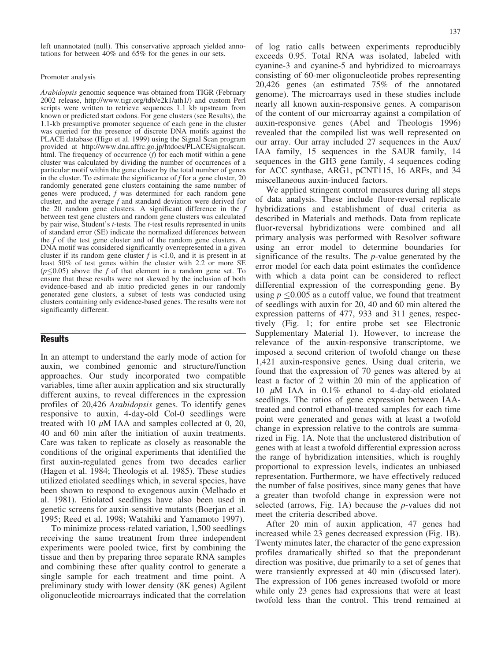left unannotated (null). This conservative approach yielded annotations for between 40% and 65% for the genes in our sets.

#### Promoter analysis

Arabidopsis genomic sequence was obtained from TIGR (February 2002 release, http://www.tigr.org/tdb/e2k1/ath1/) and custom Perl scripts were written to retrieve sequences 1.1 kb upstream from known or predicted start codons. For gene clusters (see Results), the 1.1-kb presumptive promoter sequence of each gene in the cluster was queried for the presence of discrete DNA motifs against the PLACE database (Higo et al. 1999) using the Signal Scan program provided at http://www.dna.affrc.go.jp/htdocs/PLACE/signalscan. html. The frequency of occurrence  $(f)$  for each motif within a gene cluster was calculated by dividing the number of occurrences of a particular motif within the gene cluster by the total number of genes in the cluster. To estimate the significance of  $f$  for a gene cluster, 20 randomly generated gene clusters containing the same number of genes were produced, f was determined for each random gene cluster, and the average  $f$  and standard deviation were derived for the 20 random gene clusters. A significant difference in the f between test gene clusters and random gene clusters was calculated by pair wise, Student's  $t$ -tests. The  $t$ -test results represented in units of standard error (SE) indicate the normalized differences between the f of the test gene cluster and of the random gene clusters. A DNA motif was considered significantly overrepresented in a given cluster if its random gene cluster  $f$  is  $\lt 1.0$ , and it is present in at least 50% of test genes within the cluster with 2.2 or more SE  $(p<0.05)$  above the f of that element in a random gene set. To ensure that these results were not skewed by the inclusion of both evidence-based and ab initio predicted genes in our randomly generated gene clusters, a subset of tests was conducted using clusters containing only evidence-based genes. The results were not significantly different.

### **Results**

In an attempt to understand the early mode of action for auxin, we combined genomic and structure/function approaches. Our study incorporated two compatible variables, time after auxin application and six structurally different auxins, to reveal differences in the expression profiles of 20,426 Arabidopsis genes. To identify genes responsive to auxin, 4-day-old Col-0 seedlings were treated with 10  $\mu$ M IAA and samples collected at 0, 20, 40 and 60 min after the initiation of auxin treatments. Care was taken to replicate as closely as reasonable the conditions of the original experiments that identified the first auxin-regulated genes from two decades earlier (Hagen et al. 1984; Theologis et al. 1985). These studies utilized etiolated seedlings which, in several species, have been shown to respond to exogenous auxin (Melhado et al. 1981). Etiolated seedlings have also been used in genetic screens for auxin-sensitive mutants (Boerjan et al. 1995; Reed et al. 1998; Watahiki and Yamamoto 1997).

To minimize process-related variation, 1,500 seedlings receiving the same treatment from three independent experiments were pooled twice, first by combining the tissue and then by preparing three separate RNA samples and combining these after quality control to generate a single sample for each treatment and time point. A preliminary study with lower density (8K genes) Agilent oligonucleotide microarrays indicated that the correlation

of log ratio calls between experiments reproducibly exceeds 0.95. Total RNA was isolated, labeled with cyanine-3 and cyanine-5 and hybridized to microarrays consisting of 60-mer oligonucleotide probes representing 20,426 genes (an estimated 75% of the annotated genome). The microarrays used in these studies include nearly all known auxin-responsive genes. A comparison of the content of our microarray against a compilation of auxin-responsive genes (Abel and Theologis 1996) revealed that the compiled list was well represented on our array. Our array included 27 sequences in the Aux/ IAA family, 15 sequences in the SAUR family, 14 sequences in the GH3 gene family, 4 sequences coding for ACC synthase, ARG1, pCNT115, 16 ARFs, and 34 miscellaneous auxin-induced factors.

We applied stringent control measures during all steps of data analysis. These include fluor-reversal replicate hybridizations and establishment of dual criteria as described in Materials and methods. Data from replicate fluor-reversal hybridizations were combined and all primary analysis was performed with Resolver software using an error model to determine boundaries for significance of the results. The p-value generated by the error model for each data point estimates the confidence with which a data point can be considered to reflect differential expression of the corresponding gene. By using  $p \leq 0.005$  as a cutoff value, we found that treatment of seedlings with auxin for 20, 40 and 60 min altered the expression patterns of 477, 933 and 311 genes, respectively (Fig. 1; for entire probe set see Electronic Supplementary Material 1). However, to increase the relevance of the auxin-responsive transcriptome, we imposed a second criterion of twofold change on these 1,421 auxin-responsive genes. Using dual criteria, we found that the expression of 70 genes was altered by at least a factor of 2 within 20 min of the application of 10  $\mu$ M IAA in 0.1% ethanol to 4-day-old etiolated seedlings. The ratios of gene expression between IAAtreated and control ethanol-treated samples for each time point were generated and genes with at least a twofold change in expression relative to the controls are summarized in Fig. 1A. Note that the unclustered distribution of genes with at least a twofold differential expression across the range of hybridization intensities, which is roughly proportional to expression levels, indicates an unbiased representation. Furthermore, we have effectively reduced the number of false positives, since many genes that have a greater than twofold change in expression were not selected (arrows, Fig. 1A) because the  $p$ -values did not meet the criteria described above.

After 20 min of auxin application, 47 genes had increased while 23 genes decreased expression (Fig. 1B). Twenty minutes later, the character of the gene expression profiles dramatically shifted so that the preponderant direction was positive, due primarily to a set of genes that were transiently expressed at 40 min (discussed later). The expression of 106 genes increased twofold or more while only 23 genes had expressions that were at least twofold less than the control. This trend remained at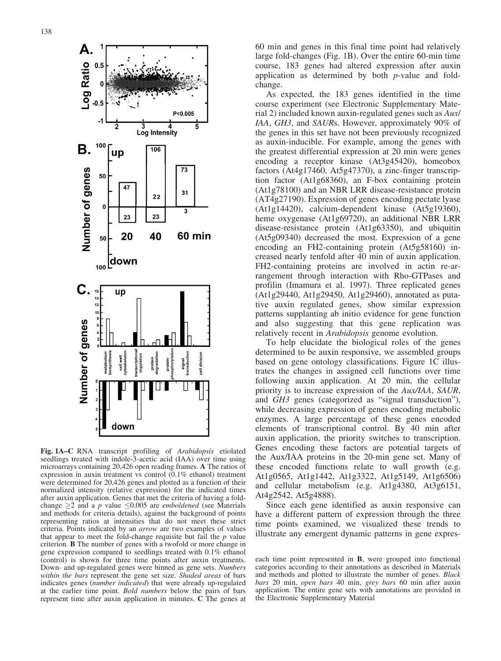

Fig. 1A–C RNA transcript profiling of Arabidopsis etiolated seedlings treated with indole-3-acetic acid (IAA) over time using microarrays containing 20,426 open reading frames. A The ratios of expression in auxin treatment vs control (0.1% ethanol) treatment were determined for 20,426 genes and plotted as a function of their normalized intensity (relative expression) for the indicated times after auxin application. Genes that met the criteria of having a foldchange  $\geq$  2 and a p value  $\leq$ 0.005 are *emboldened* (see Materials and methods for criteria details), against the background of points representing ratios at intensities that do not meet these strict criteria. Points indicated by an arrow are two examples of values that appear to meet the fold-change requisite but fail the  $p$  value criterion. B The number of genes with a twofold or more change in gene expression compared to seedlings treated with 0.1% ethanol (control) is shown for three time points after auxin treatments. Down- and up-regulated genes were binned as gene sets. Numbers within the bars represent the gene set size. Shaded areas of bars indicates genes (number indicated) that were already up-regulated at the earlier time point. Bold numbers below the pairs of bars represent time after auxin application in minutes. C The genes at

60 min and genes in this final time point had relatively large fold-changes (Fig. 1B). Over the entire 60-min time course, 183 genes had altered expression after auxin application as determined by both p-value and foldchange.

As expected, the 183 genes identified in the time course experiment (see Electronic Supplementary Material 2) included known auxin-regulated genes such as Aux/ IAA, GH3, and SAURs. However, approximately 90% of the genes in this set have not been previously recognized as auxin-inducible. For example, among the genes with the greatest differential expression at 20 min were genes encoding a receptor kinase (At3g45420), homeobox factors (At4g17460, At5g47370), a zinc-finger transcription factor (At1g68360), an F-box containing protein (At1g78100) and an NBR LRR disease-resistance protein (AT4g27190). Expression of genes encoding pectate lyase (At1g14420), calcium-dependent kinase (At5g19360), heme oxygenase (At1g69720), an additional NBR LRR disease-resistance protein (At1g63350), and ubiquitin (At5g09340) decreased the most. Expression of a gene encoding an FH2-containing protein (At5g58160) increased nearly tenfold after 40 min of auxin application. FH2-containing proteins are involved in actin re-arrangement through interaction with Rho-GTPases and profilin (Imamura et al. 1997). Three replicated genes  $(At1g29440, At1g29450, At1g29460)$ , annotated as putative auxin regulated genes, show similar expression patterns supplanting ab initio evidence for gene function and also suggesting that this gene replication was relatively recent in Arabidopsis genome evolution.

To help elucidate the biological roles of the genes determined to be auxin responsive, we assembled groups based on gene ontology classifications. Figure 1C illustrates the changes in assigned cell functions over time following auxin application. At 20 min, the cellular priority is to increase expression of the Aux/IAA, SAUR, and GH3 genes (categorized as "signal transduction"), while decreasing expression of genes encoding metabolic enzymes. A large percentage of these genes encoded elements of transcriptional control. By 40 min after auxin application, the priority switches to transcription. Genes encoding these factors are potential targets of the Aux/IAA proteins in the 20-min gene set. Many of these encoded functions relate to wall growth (e.g. At1g0565, At1g1442, At1g3322, At1g5149, At1g6506) and cellular metabolism (e.g. At1g4380, At3g6151, At4g2542, At5g4888).

Since each gene identified as auxin responsive can have a different pattern of expression through the three time points examined, we visualized these trends to illustrate any emergent dynamic patterns in gene expres-

each time point represented in B, were grouped into functional categories according to their annotations as described in Materials and methods and plotted to illustrate the number of genes. Black bars 20 min, open bars 40 min, grey bars 60 min after auxin application. The entire gene sets with annotations are provided in the Electronic Supplementary Material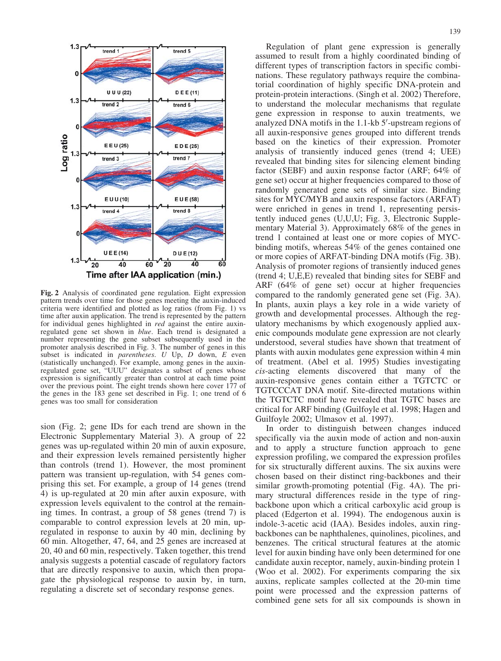

Fig. 2 Analysis of coordinated gene regulation. Eight expression pattern trends over time for those genes meeting the auxin-induced criteria were identified and plotted as log ratios (from Fig. 1) vs time after auxin application. The trend is represented by the pattern for individual genes highlighted in red against the entire auxinregulated gene set shown in blue. Each trend is designated a number representing the gene subset subsequently used in the promoter analysis described in Fig. 3. The number of genes in this subset is indicated in *parentheses*.  $U$  Up,  $D$  down,  $E$  even (statistically unchanged). For example, among genes in the auxinregulated gene set, "UUU" designates a subset of genes whose expression is significantly greater than control at each time point over the previous point. The eight trends shown here cover 177 of the genes in the 183 gene set described in Fig. 1; one trend of 6 genes was too small for consideration

sion (Fig. 2; gene IDs for each trend are shown in the Electronic Supplementary Material 3). A group of 22 genes was up-regulated within 20 min of auxin exposure, and their expression levels remained persistently higher than controls (trend 1). However, the most prominent pattern was transient up-regulation, with 54 genes comprising this set. For example, a group of 14 genes (trend 4) is up-regulated at 20 min after auxin exposure, with expression levels equivalent to the control at the remaining times. In contrast, a group of 58 genes (trend 7) is comparable to control expression levels at 20 min, upregulated in response to auxin by 40 min, declining by 60 min. Altogether, 47, 64, and 25 genes are increased at 20, 40 and 60 min, respectively. Taken together, this trend analysis suggests a potential cascade of regulatory factors that are directly responsive to auxin, which then propagate the physiological response to auxin by, in turn, regulating a discrete set of secondary response genes.

Regulation of plant gene expression is generally assumed to result from a highly coordinated binding of different types of transcription factors in specific combinations. These regulatory pathways require the combinatorial coordination of highly specific DNA-protein and protein-protein interactions. (Singh et al. 2002) Therefore, to understand the molecular mechanisms that regulate gene expression in response to auxin treatments, we analyzed DNA motifs in the 1.1-kb 5'-upstream regions of all auxin-responsive genes grouped into different trends based on the kinetics of their expression. Promoter analysis of transiently induced genes (trend 4; UEE) revealed that binding sites for silencing element binding factor (SEBF) and auxin response factor (ARF; 64% of gene set) occur at higher frequencies compared to those of randomly generated gene sets of similar size. Binding sites for MYC/MYB and auxin response factors (ARFAT) were enriched in genes in trend 1, representing persistently induced genes (U,U,U; Fig. 3, Electronic Supplementary Material 3). Approximately 68% of the genes in trend 1 contained at least one or more copies of MYCbinding motifs, whereas 54% of the genes contained one or more copies of ARFAT-binding DNA motifs (Fig. 3B). Analysis of promoter regions of transiently induced genes (trend 4; U,E,E) revealed that binding sites for SEBF and ARF (64% of gene set) occur at higher frequencies compared to the randomly generated gene set (Fig. 3A). In plants, auxin plays a key role in a wide variety of growth and developmental processes. Although the regulatory mechanisms by which exogenously applied auxenic compounds modulate gene expression are not clearly understood, several studies have shown that treatment of plants with auxin modulates gene expression within 4 min of treatment. (Abel et al. 1995) Studies investigating cis-acting elements discovered that many of the auxin-responsive genes contain either a TGTCTC or TGTCCCAT DNA motif. Site-directed mutations within the TGTCTC motif have revealed that TGTC bases are critical for ARF binding (Guilfoyle et al. 1998; Hagen and Guilfoyle 2002; Ulmasov et al. 1997).

In order to distinguish between changes induced specifically via the auxin mode of action and non-auxin and to apply a structure function approach to gene expression profiling, we compared the expression profiles for six structurally different auxins. The six auxins were chosen based on their distinct ring-backbones and their similar growth-promoting potential (Fig. 4A). The primary structural differences reside in the type of ringbackbone upon which a critical carboxylic acid group is placed (Edgerton et al. 1994). The endogenous auxin is indole-3-acetic acid (IAA). Besides indoles, auxin ringbackbones can be naphthalenes, quinolines, picolines, and benzenes. The critical structural features at the atomic level for auxin binding have only been determined for one candidate auxin receptor, namely, auxin-binding protein 1 (Woo et al. 2002). For experiments comparing the six auxins, replicate samples collected at the 20-min time point were processed and the expression patterns of combined gene sets for all six compounds is shown in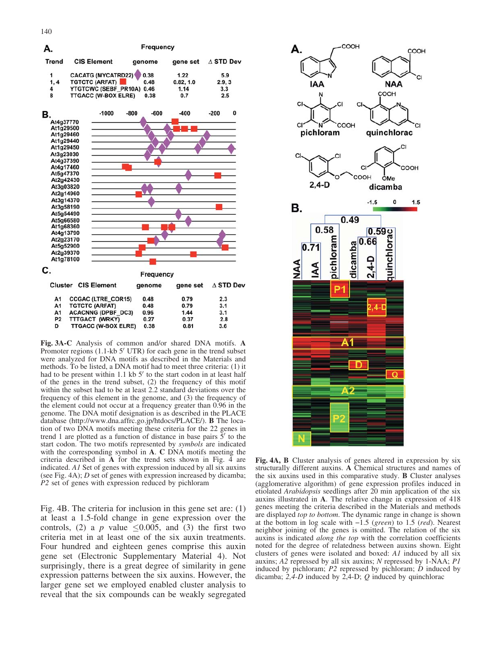

Fig. 3A-C Analysis of common and/or shared DNA motifs. A Promoter regions  $(1.1-kb 5' UTR)$  for each gene in the trend subset were analyzed for DNA motifs as described in the Materials and methods. To be listed, a DNA motif had to meet three criteria: (1) it had to be present within 1.1 kb  $5'$  to the start codon in at least half of the genes in the trend subset, (2) the frequency of this motif within the subset had to be at least 2.2 standard deviations over the frequency of this element in the genome, and (3) the frequency of the element could not occur at a frequency greater than 0.96 in the genome. The DNA motif designation is as described in the PLACE database (http://www.dna.affrc.go.jp/htdocs/PLACE/). B The location of two DNA motifs meeting these criteria for the 22 genes in trend 1 are plotted as a function of distance in base pairs  $\bar{5}'$  to the start codon. The two motifs represented by symbols are indicated with the corresponding symbol in A. C DNA motifs meeting the criteria described in A for the trend sets shown in Fig. 4 are indicated. A1 Set of genes with expression induced by all six auxins (see Fig. 4A); D set of genes with expression increased by dicamba; P2 set of genes with expression reduced by pichloram

Fig. 4B. The criteria for inclusion in this gene set are: (1) at least a 1.5-fold change in gene expression over the controls, (2) a p value  $\leq 0.005$ , and (3) the first two criteria met in at least one of the six auxin treatments. Four hundred and eighteen genes comprise this auxin gene set (Electronic Supplementary Material 4). Not surprisingly, there is a great degree of similarity in gene expression patterns between the six auxins. However, the larger gene set we employed enabled cluster analysis to reveal that the six compounds can be weakly segregated



Fig. 4A, B Cluster analysis of genes altered in expression by six structurally different auxins. A Chemical structures and names of the six auxins used in this comparative study. B Cluster analyses (agglomerative algorithm) of gene expression profiles induced in etiolated Arabidopsis seedlings after 20 min application of the six auxins illustrated in A. The relative change in expression of 418 genes meeting the criteria described in the Materials and methods are displayed top to bottom. The dynamic range in change is shown at the bottom in log scale with  $-1.5$  (green) to 1.5 (red). Nearest neighbor joining of the genes is omitted. The relation of the six auxins is indicated along the top with the correlation coefficients noted for the degree of relatedness between auxins shown. Eight clusters of genes were isolated and boxed: A1 induced by all six auxins; A2 repressed by all six auxins; N repressed by 1-NAA; P1 induced by pichloram;  $P2$  repressed by pichloram;  $\dot{D}$  induced by dicamba;  $2,4$ -D induced by  $2,4$ -D;  $Q$  induced by quinchlorac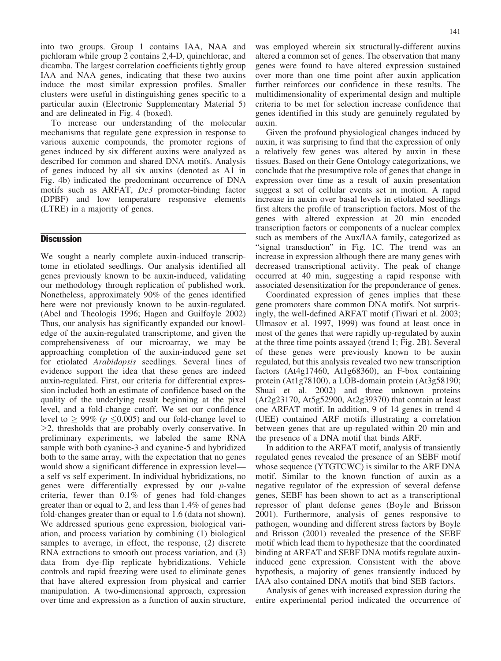into two groups. Group 1 contains IAA, NAA and pichloram while group 2 contains 2,4-D, quinchlorac, and dicamba. The largest correlation coefficients tightly group IAA and NAA genes, indicating that these two auxins induce the most similar expression profiles. Smaller clusters were useful in distinguishing genes specific to a particular auxin (Electronic Supplementary Material 5) and are delineated in Fig. 4 (boxed).

To increase our understanding of the molecular mechanisms that regulate gene expression in response to various auxenic compounds, the promoter regions of genes induced by six different auxins were analyzed as described for common and shared DNA motifs. Analysis of genes induced by all six auxins (denoted as A1 in Fig. 4b) indicated the predominant occurrence of DNA motifs such as ARFAT, Dc3 promoter-binding factor (DPBF) and low temperature responsive elements (LTRE) in a majority of genes.

## **Discussion**

We sought a nearly complete auxin-induced transcriptome in etiolated seedlings. Our analysis identified all genes previously known to be auxin-induced, validating our methodology through replication of published work. Nonetheless, approximately 90% of the genes identified here were not previously known to be auxin-regulated. (Abel and Theologis 1996; Hagen and Guilfoyle 2002) Thus, our analysis has significantly expanded our knowledge of the auxin-regulated transcriptome, and given the comprehensiveness of our microarray, we may be approaching completion of the auxin-induced gene set for etiolated Arabidopsis seedlings. Several lines of evidence support the idea that these genes are indeed auxin-regulated. First, our criteria for differential expression included both an estimate of confidence based on the quality of the underlying result beginning at the pixel level, and a fold-change cutoff. We set our confidence level to  $\geq 99\%$  ( $p \leq 0.005$ ) and our fold-change level to  $\geq$ 2, thresholds that are probably overly conservative. In preliminary experiments, we labeled the same RNA sample with both cyanine-3 and cyanine-5 and hybridized both to the same array, with the expectation that no genes would show a significant difference in expression level a self vs self experiment. In individual hybridizations, no genes were differentially expressed by our p-value criteria, fewer than 0.1% of genes had fold-changes greater than or equal to 2, and less than 1.4% of genes had fold-changes greater than or equal to 1.6 (data not shown). We addressed spurious gene expression, biological variation, and process variation by combining (1) biological samples to average, in effect, the response, (2) discrete RNA extractions to smooth out process variation, and (3) data from dye-flip replicate hybridizations. Vehicle controls and rapid freezing were used to eliminate genes that have altered expression from physical and carrier manipulation. A two-dimensional approach, expression over time and expression as a function of auxin structure,

was employed wherein six structurally-different auxins altered a common set of genes. The observation that many genes were found to have altered expression sustained over more than one time point after auxin application further reinforces our confidence in these results. The multidimensionality of experimental design and multiple criteria to be met for selection increase confidence that genes identified in this study are genuinely regulated by auxin.

Given the profound physiological changes induced by auxin, it was surprising to find that the expression of only a relatively few genes was altered by auxin in these tissues. Based on their Gene Ontology categorizations, we conclude that the presumptive role of genes that change in expression over time as a result of auxin presentation suggest a set of cellular events set in motion. A rapid increase in auxin over basal levels in etiolated seedlings first alters the profile of transcription factors. Most of the genes with altered expression at 20 min encoded transcription factors or components of a nuclear complex such as members of the Aux/IAA family, categorized as "signal transduction" in Fig. 1C. The trend was an increase in expression although there are many genes with decreased transcriptional activity. The peak of change occurred at 40 min, suggesting a rapid response with associated desensitization for the preponderance of genes.

Coordinated expression of genes implies that these gene promoters share common DNA motifs. Not surprisingly, the well-defined ARFAT motif (Tiwari et al. 2003; Ulmasov et al. 1997, 1999) was found at least once in most of the genes that were rapidly up-regulated by auxin at the three time points assayed (trend 1; Fig. 2B). Several of these genes were previously known to be auxin regulated, but this analysis revealed two new transcription factors (At4g17460, At1g68360), an F-box containing protein (At1g78100), a LOB-domain protein (At3g58190; Shuai et al. 2002) and three unknown proteins (At2g23170, At5g52900, At2g39370) that contain at least one ARFAT motif. In addition, 9 of 14 genes in trend 4 (UEE) contained ARF motifs illustrating a correlation between genes that are up-regulated within 20 min and the presence of a DNA motif that binds ARF.

In addition to the ARFAT motif, analysis of transiently regulated genes revealed the presence of an SEBF motif whose sequence (YTGTCWC) is similar to the ARF DNA motif. Similar to the known function of auxin as a negative regulator of the expression of several defense genes, SEBF has been shown to act as a transcriptional repressor of plant defense genes (Boyle and Brisson 2001). Furthermore, analysis of genes responsive to pathogen, wounding and different stress factors by Boyle and Brisson (2001) revealed the presence of the SEBF motif which lead them to hypothesize that the coordinated binding at ARFAT and SEBF DNA motifs regulate auxininduced gene expression. Consistent with the above hypothesis, a majority of genes transiently induced by IAA also contained DNA motifs that bind SEB factors.

Analysis of genes with increased expression during the entire experimental period indicated the occurrence of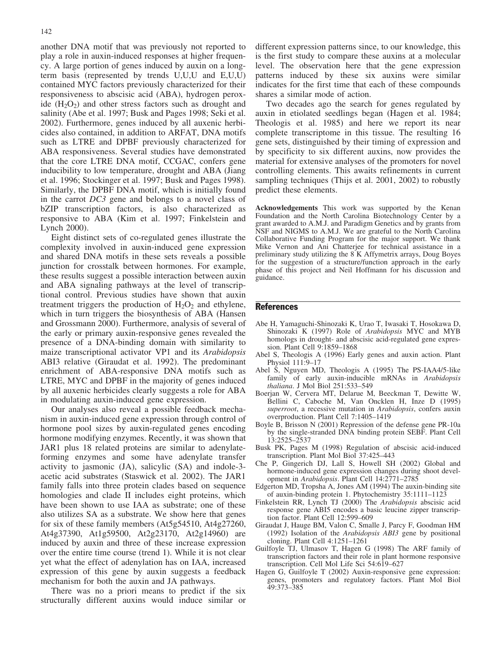another DNA motif that was previously not reported to play a role in auxin-induced responses at higher frequency. A large portion of genes induced by auxin on a longterm basis (represented by trends U,U,U and E,U,U) contained MYC factors previously characterized for their responsiveness to abscisic acid (ABA), hydrogen peroxide  $(H_2O_2)$  and other stress factors such as drought and salinity (Abe et al. 1997; Busk and Pages 1998; Seki et al. 2002). Furthermore, genes induced by all auxenic herbicides also contained, in addition to ARFAT, DNA motifs such as LTRE and DPBF previously characterized for ABA responsiveness. Several studies have demonstrated that the core LTRE DNA motif, CCGAC, confers gene inducibility to low temperature, drought and ABA (Jiang et al. 1996; Stockinger et al. 1997; Busk and Pages 1998). Similarly, the DPBF DNA motif, which is initially found in the carrot DC3 gene and belongs to a novel class of bZIP transcription factors, is also characterized as responsive to ABA (Kim et al. 1997; Finkelstein and Lynch 2000).

Eight distinct sets of co-regulated genes illustrate the complexity involved in auxin-induced gene expression and shared DNA motifs in these sets reveals a possible junction for crosstalk between hormones. For example, these results suggest a possible interaction between auxin and ABA signaling pathways at the level of transcriptional control. Previous studies have shown that auxin treatment triggers the production of  $H_2O_2$  and ethylene, which in turn triggers the biosynthesis of ABA (Hansen and Grossmann 2000). Furthermore, analysis of several of the early or primary auxin-responsive genes revealed the presence of a DNA-binding domain with similarity to maize transcriptional activator VP1 and its Arabidopsis ABI3 relative (Giraudat et al. 1992). The predominant enrichment of ABA-responsive DNA motifs such as LTRE, MYC and DPBF in the majority of genes induced by all auxenic herbicides clearly suggests a role for ABA in modulating auxin-induced gene expression.

Our analyses also reveal a possible feedback mechanism in auxin-induced gene expression through control of hormone pool sizes by auxin-regulated genes encoding hormone modifying enzymes. Recently, it was shown that JAR1 plus 18 related proteins are similar to adenylateforming enzymes and some have adenylate transfer activity to jasmonic (JA), salicylic (SA) and indole-3 acetic acid substrates (Staswick et al. 2002). The JAR1 family falls into three protein clades based on sequence homologies and clade II includes eight proteins, which have been shown to use IAA as substrate; one of these also utilizes SA as a substrate. We show here that genes for six of these family members (At5g54510, At4g27260, At4g37390, At1g59500, At2g23170, At2g14960) are induced by auxin and three of these increase expression over the entire time course (trend 1). While it is not clear yet what the effect of adenylation has on IAA, increased expression of this gene by auxin suggests a feedback mechanism for both the auxin and JA pathways.

There was no a priori means to predict if the six structurally different auxins would induce similar or

different expression patterns since, to our knowledge, this is the first study to compare these auxins at a molecular level. The observation here that the gene expression patterns induced by these six auxins were similar indicates for the first time that each of these compounds shares a similar mode of action.

Two decades ago the search for genes regulated by auxin in etiolated seedlings began (Hagen et al. 1984; Theologis et al. 1985) and here we report its near complete transcriptome in this tissue. The resulting 16 gene sets, distinguished by their timing of expression and by specificity to six different auxins, now provides the material for extensive analyses of the promoters for novel controlling elements. This awaits refinements in current sampling techniques (Thijs et al. 2001, 2002) to robustly predict these elements.

Acknowledgements This work was supported by the Kenan Foundation and the North Carolina Biotechnology Center by a grant awarded to A.M.J. and Paradigm Genetics and by grants from NSF and NIGMS to A.M.J. We are grateful to the North Carolina Collaborative Funding Program for the major support. We thank Mike Vernon and Ani Chatterjee for technical assistance in a preliminary study utilizing the 8 K Affymetrix arrays, Doug Boyes for the suggestion of a structure/function approach in the early phase of this project and Neil Hoffmann for his discussion and guidance.

## **References**

- Abe H, Yamaguchi-Shinozaki K, Urao T, Iwasaki T, Hosokawa D, Shinozaki K (1997) Role of Arabidopsis MYC and MYB homologs in drought- and abscisic acid-regulated gene expression. Plant Cell 9:1859–1868
- Abel S, Theologis A (1996) Early genes and auxin action. Plant Physiol 111:9–17
- Abel S, Nguyen MD, Theologis A (1995) The PS-IAA4/5-like family of early auxin-inducible mRNAs in Arabidopsis thaliana. J Mol Biol 251:533–549
- Boerjan W, Cervera MT, Delarue M, Beeckman T, Dewitte W, Bellini C, Caboche M, Van Oncklen H, Inze D (1995) superroot, a recessive mutation in Arabidopsis, confers auxin overproduction. Plant Cell 7:1405–1419
- Boyle B, Brisson N (2001) Repression of the defense gene PR-10a by the single-stranded DNA binding protein SEBF. Plant Cell 13:2525–2537
- Busk PK, Pages M (1998) Regulation of abscisic acid-induced transcription. Plant Mol Biol 37:425–443
- Che P, Gingerich DJ, Lall S, Howell SH (2002) Global and hormone-induced gene expression changes during shoot development in Arabidopsis. Plant Cell 14:2771–2785
- Edgerton MD, Tropsha A, Jones AM (1994) The auxin-binding site of auxin-binding protein 1. Phytochemistry 35:1111–1123
- Finkelstein RR, Lynch TJ (2000) The Arabidopsis abscisic acid response gene ABI5 encodes a basic leucine zipper transcription factor. Plant Cell 12:599–609
- Giraudat J, Hauge BM, Valon C, Smalle J, Parcy F, Goodman HM (1992) Isolation of the Arabidopsis ABI3 gene by positional cloning. Plant Cell 4:1251–1261
- Guilfoyle TJ, Ulmasov T, Hagen G (1998) The ARF family of transcription factors and their role in plant hormone responsive transcription. Cell Mol Life Sci 54:619–627
- Hagen G, Guilfoyle T (2002) Auxin-responsive gene expression: genes, promoters and regulatory factors. Plant Mol Biol 49:373–385